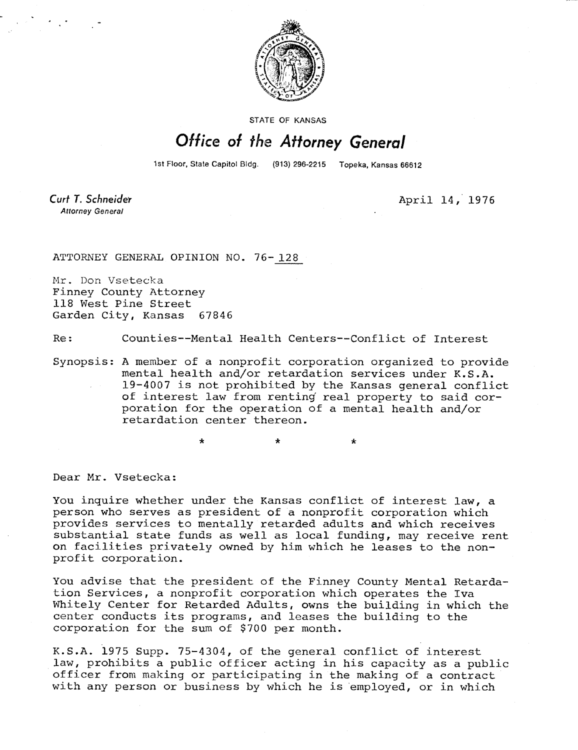

STATE OF KANSAS

## Office of the Attorney General

1st Floor, State Capitol Bldg. (913) 296-2215 Topeka, Kansas 66612

Curt T. Schneider **Attorney General** 

April 14, 1976

ATTORNEY GENERAL OPINION NO. 76- 128

Mr. Don Vsetecka Finney County Attorney 118 West Pine Street Garden City, Kansas 67846

Re: Counties--Mental Health Centers--Conflict of Interest

Synopsis: A member of a nonprofit corporation organized to provide mental health and/or retardation services under K.S.A. 19-4007 is not prohibited by the Kansas general conflict of interest law from renting real property to said corporation for the operation of a mental health and/or retardation center thereon.

Dear Mr. Vsetecka:

You inquire whether under the Kansas conflict of interest law, a person who serves as president of a nonprofit corporation which provides services to mentally retarded adults and which receives substantial state funds as well as local funding, may receive rent on facilities privately owned by him which he leases to the nonprofit corporation.

You advise that the president of the Finney County Mental Retardation Services, a nonprofit corporation which operates the Iva Whitely Center for Retarded Adults, owns the building in which the center conducts its programs, and leases the building to the corporation for the sum of \$700 per month.

K.S.A. 1975 Supp. 75-4304, of the general conflict of interest law, prohibits a public officer acting in his capacity as a public officer from making or participating in the making of a contract with any person or business by which he is employed, or in which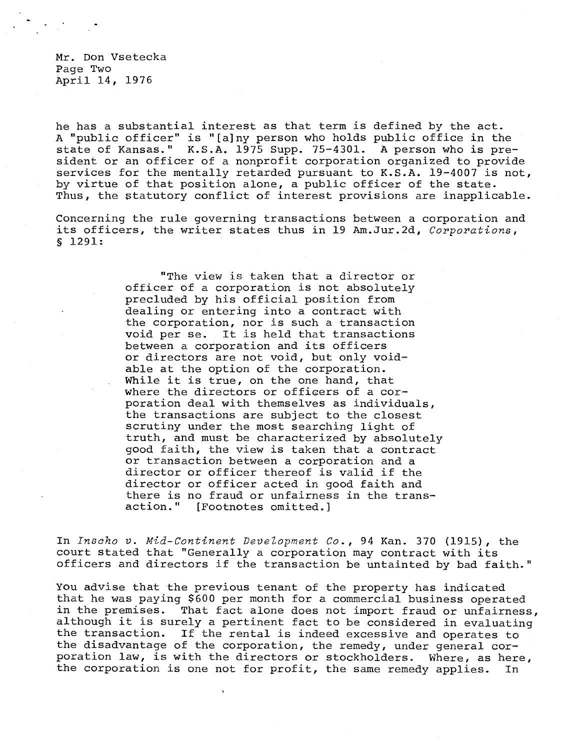Mr. Don Vsetecka Page Two April 14, 1976

he has a substantial interest as that term is defined by the act. A "public officer" is "[a]ny person who holds public office in the state of Kansas." K.S.A. 1975 Supp. 75-4301. A person who is president or an officer of a nonprofit corporation organized to provide services for the mentally retarded pursuant to K.S.A. 19-4007 is not, by virtue of that position alone, a public officer of the state. Thus, the statutory conflict of interest provisions are inapplicable.

Concerning the rule governing transactions between a corporation and its officers, the writer states thus in 19 Am.Jur.2d, Corporations, § 1291:

> "The view is taken that a director or officer of a corporation is not absolutely precluded by his official position from dealing or entering into a contract with the corporation, nor is such a transaction void per se. It is held that transactions between a corporation and its officers or directors are not void, but only voidable at the option of the corporation. While it is true, on the one hand, that where the directors or officers of a corporation deal with themselves as individuals, the transactions are subject to the closest scrutiny under the most searching light of truth, and must be characterized by absolutely good faith, the view is taken that a contract or transaction between a corporation and a director or officer thereof is valid if the director or officer acted in good faith and there is no fraud or unfairness in the trans-<br>action." [Footnotes omitted.] [Footnotes omitted.]

In Inscho v. Mid-Continent Development Co., 94 Kan. 370 (1915), the court stated that "Generally a corporation may contract with its officers and directors if the transaction be untainted by bad faith."

You advise that the previous tenant of the property has indicated that he was paying \$600 per month for a commercial business operated in the premises. That fact alone does not import fraud or unfairness, although it is surely a pertinent fact to be considered in evaluating the transaction. If the rental is indeed excessive and operates to the disadvantage of the corporation, the remedy, under general corporation law, is with the directors or stockholders. Where, as here, the corporation is one not for profit, the same remedy applies. In